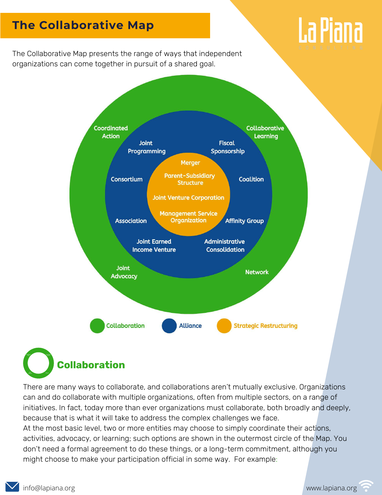# **The Collaborative Map**



The Collaborative Map presents the range of ways that independent organizations can come together in pursuit of a shared goal.



**Collaboration** Fiscal Sponsorship Administrative Consolodation Affinity Group Consortium Coalition Coordinated Coordinated Action Collaborative Learning Network Joint Advocacy Joseph Joseph Joseph Joseph Joseph Joseph Joseph Joseph Joseph Joseph Joseph Joseph Joseph Joseph Joseph Joseph Joseph Joseph Joseph Joseph Joseph Joseph Joseph Joseph Joseph Joseph Joseph Joseph Jos

There are many ways to collaborate, and collaborations aren't mutually exclusive. Organizations can and do collaborate with multiple organizations, often from multiple sectors, on a range of initiatives. In fact, today more than ever organizations must collaborate, both broadly and deeply, because that is what it will take to address the complex challenges we face. At the most basic level, two or more entities may choose to simply coordinate their actions, activities, advocacy, or learning; such options are shown in the outermost circle of the Map. You don't need a formal agreement to do these things, or a long-term commitment, although you might choose to make your participation official in some way. For example: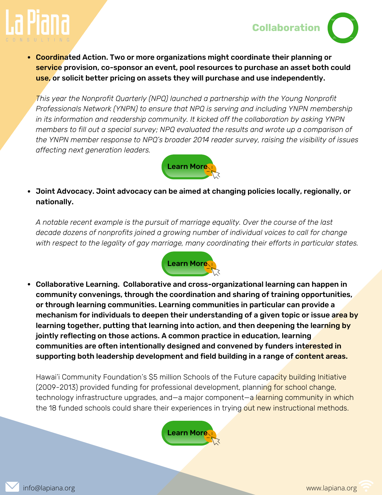



• Coordinated Action. Two or more organizations might coordinate their planning or service provision, co-sponsor an event, pool resources to purchase an asset both could use, or solicit better pricing on assets they will purchase and use independently.

*This year the Nonprofit Quarterly (NPQ) launched a partnership with the Young Nonprofit Professionals Network (YNPN) to ensure that NPQ is serving and including YNPN membership in its information and readership community. It kicked off the collaboration by asking YNPN members to fill out a special survey; NPQ evaluated the results and wrote up a comparison of the YNPN member response to NPQ's broader 2014 reader survey, raising the visibility of issues affecting next generation leaders.*



Joint Advocacy. Joint advocacy can be aimed at changing policies locally, regionally, or nationally.

*A notable recent example is the pursuit of marriage equality. Over the course of the last decade dozens of nonprofits joined a growing number of individual voices to call for change with respect to the legality of gay marriage, many coordinating their efforts in particular states.*



Collaborative Learning. Collaborative and cross-organizational learning can happen in community convenings, through the coordination and sharing of training opportunities, or through learning communities. Learning communities in particular can provide a mechanism for individuals to deepen their understanding of a given topic or issue area by learning together, putting that learning into action, and then deepening the learning by jointly reflecting on those actions. A common practice in education, learning communities are often intentionally designed and convened by funders interested in supporting both leadership development and field building in a range of content areas.

Hawai'i Community Foundation's \$5 million Schools of the Future capacity building Initiative (2009-2013) provided funding for professional development, planning for school change, technology infrastructure upgrades, and—a major component—a learning community in which the 18 funded schools could share their experiences in trying out new instructional methods.



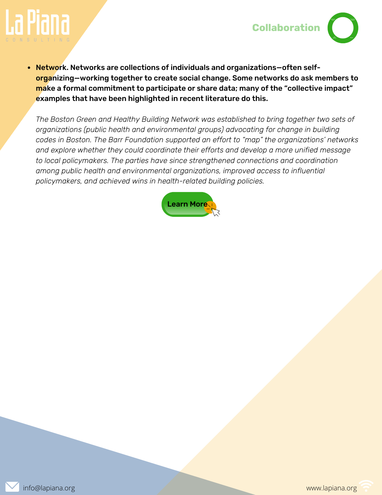

• Network. Networks are collections of individuals and organizations-often selforganizing—working together to create social change. Some networks do ask members to make a formal commitment to participate or share data; many of the "collective impact" examples that have been highlighted in recent literature do this.

*The Boston Green and Healthy Building Network was established to bring together two sets of organizations (public health and environmental groups) advocating for change in building codes in Boston. The Barr Foundation supported an effort to "map" the organizations' networks and explore whether they could coordinate their efforts and develop a more unified message to local policymakers. The parties have since strengthened connections and coordination among public health and environmental organizations, improved access to influential policymakers, and achieved wins in health-related building policies.*



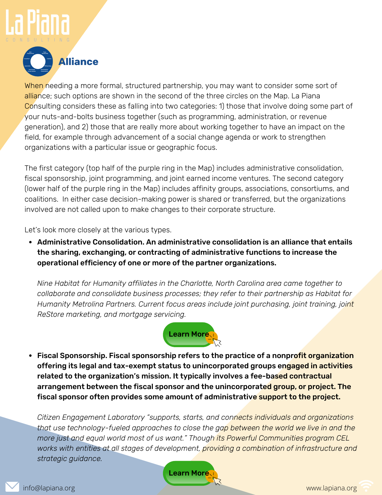

When needing a more formal, structured partnership, you may want to consider some sort of alliance; such options are shown in the second of the three circles on the Map. La Piana Consulting considers these as falling into two categories: 1) those that involve doing some part of your nuts-and-bolts business together (such as programming, administration, or revenue generation), and 2) those that are really more about working together to have an impact on the field, for example through advancement of a social change agenda or work to strengthen organizations with a particular issue or geographic focus.

The first category (top half of the purple ring in the Map) includes administrative consolidation, fiscal sponsorship, joint programming, and joint earned income ventures. The second category (lower half of the purple ring in the Map) includes affinity groups, associations, consortiums, and coalitions. In either case decision-making power is shared or transferred, but the organizations involved are not called upon to make changes to their corporate structure.

Let's look more closely at the various types.

Administrative Consolidation. An administrative consolidation is an alliance that entails the sharing, exchanging, or contracting of administrative functions to increase the operational efficiency of one or more of the partner organizations.

*Nine Habitat for Humanity affiliates in the Charlotte, North Carolina area came together to collaborate and consolidate business processes; they refer to their partnership as Habitat for Humanity Metrolina Partners. Current focus areas include joint purchasing, joint training, joint ReStore marketing, and mortgage servicing.*



• Fiscal Sponsorship. Fiscal sponsorship refers to the practice of a nonprofit organization offering its legal and tax-exempt status to unincorporated groups engaged in activities related to the organization's mission. It typically involves a fee-based contractual arrangement between the fiscal sponsor and the unincorporated group, or project. The fiscal sponsor often provides some amount of administrative support to the project.

*Citizen Engagement Laboratory "supports, starts, and connects individuals and organizations* Network *that use technology-fueled approaches to close the gap between the world we live in and the more just and equal world most of us want." Though its Powerful Communities program CEL works with entities at all stages of development, providing a combination of infrastructure and strategic guidance.*

[Learn](http://engagementlab.org/what-we-do/powerful-communities/) More

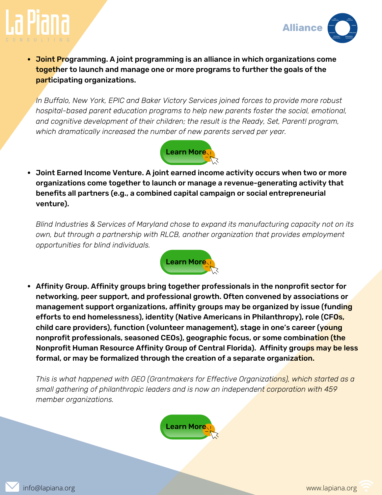



• Joint Programming. A joint programming is an alliance in which organizations come together to launch and manage one or more programs to further the goals of the participating organizations.

*In Buffalo, New York, EPIC and Baker Victory Services joined forces to provide more robust hospital-based parent education programs to help new parents foster the social, emotional, and cognitive development of their children; the result is the Ready, Set, Parent! program, which dramatically increased the number of new parents served per year.*



Joint Earned Income Venture. A joint earned income activity occurs when two or more organizations come together to launch or manage a revenue-generating activity that benefits all partners (e.g., a combined capital campaign or social entrepreneurial venture).

*Blind Industries & Services of Maryland chose to expand its manufacturing capacity not on its own, but through a partnership with RLCB, another organization that provides employment opportunities for blind individuals.*



Affinity Group. Affinity groups bring together professionals in the nonprofit sector for networking, peer support, and professional growth. Often convened by associations or management support organizations, affinity groups may be organized by issue (funding efforts to end homelessness), identity (Native Americans in Philanthropy), role (CFOs, child care providers), function (volunteer management), stage in one's career (young nonprofit professionals, seasoned CEOs), geographic focus, or some combination (the Nonprofit Human Resource Affinity Group of Central Florida). Affinity groups may be less formal, or may be formalized through the creation of a separate organization.

*This is what happened with GEO (Grantmakers for Effective Organizations), which started as a small gathering of philanthropic leaders and is now an independent corporation with 459 member organizations.*



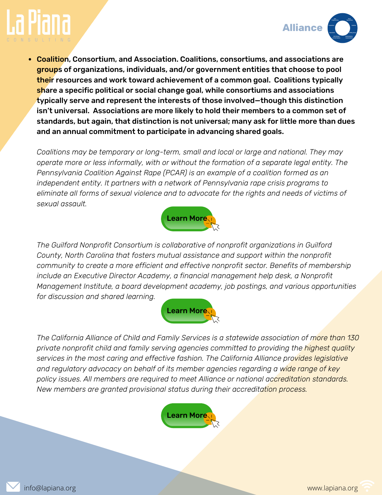



Coalition, Consortium, and Association. Coalitions, consortiums, and associations are groups of organizations, individuals, and/or government entities that choose to pool their resources and work toward achievement of a common goal. Coalitions typically share a specific political or social change goal, while consortiums and associations typically serve and represent the interests of those involved—though this distinction isn't universal. Associations are more likely to hold their members to a common set of standards, but again, that distinction is not universal; many ask for little more than dues and an annual commitment to participate in advancing shared goals.

*Coalitions may be temporary or long-term, small and local or large and national. They may operate more or less informally, with or without the formation of a separate legal entity. The Pennsylvania Coalition Against Rape (PCAR) is an example of a coalition formed as an independent entity. It partners with a network of Pennsylvania rape crisis programs to eliminate all forms of sexual violence and to advocate for the rights and needs of victims of sexual assault.*



*The Guilford Nonprofit Consortium is collaborative of nonprofit organizations in Guilford County, North Carolina that fosters mutual assistance and support within the nonprofit community to create a more efficient and effective nonprofit sector. Benefits of membership include an Executive Director Academy, a financial management help desk, a Nonprofit Management Institute, a board development academy, job postings, and various opportunities for discussion and shared learning.*



*The California Alliance of Child and Family Services is a statewide association of more than 130 private nonprofit child and family serving agencies committed to providing the highest quality services in the most caring and effective fashion. The California Alliance provides legislative and regulatory advocacy on behalf of its member agencies regarding a wide range of key policy issues. All members are required to meet Alliance or national accreditation standards. New members are granted provisional status during their accreditation process.*

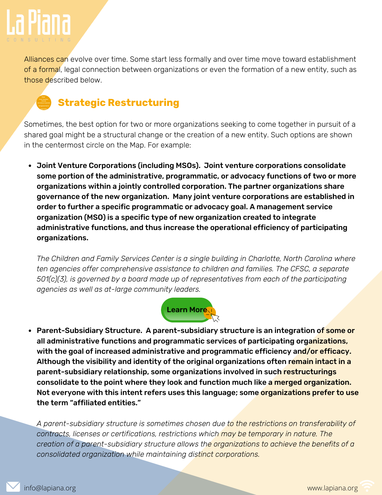

Association

Alliances can evolve over time. Some start less formally and over time move toward establishment of a formal, legal connection between organizations or even the formation of a new entity, such as those described below.

### Joint Venture Corporation Parent-Subsidiary Structure Merger<br>Structure **Strategic Restructuring** Management Service Organization

Sometimes, the best option for two or more organizations seeking to come together in pursuit of a shared goal might be a structural change or the creation of a new entity. Such options are shown in the centermost circle on the Map. For example:

Joint Venture Corporations (including MSOs). Joint venture corporations consolidate some portion of the administrative, programmatic, or advocacy functions of two or more organizations within a jointly controlled corporation. The partner organizations share governance of the new organization. Many joint venture corporations are established in order to further a specific programmatic or advocacy goal. A management service organization (MSO) is a specific type of new organization created to integrate administrative functions, and thus increase the operational efficiency of participating organizations.

*The Children and Family Services Center is a single building in Charlotte, North Carolina where ten agencies offer comprehensive assistance to children and families. The CFSC, a separate 501(c)(3), is governed by a board made up of representatives from each of the participating agencies as well as at-large community leaders.*



• Parent-Subsidiary Structure. A parent-subsidiary structure is an integration of some or all administrative functions and programmatic services of participating organizations, with the goal of increased administrative and programmatic efficiency and/or efficacy. Although the visibility and identity of the original organizations often remain intact in a parent-subsidiary relationship, some organizations involved in such restructurings consolidate to the point where they look and function much like a merged organization. Not everyone with this intent refers uses this language; some organizations prefer to use the term "affiliated entities."

*A parent-subsidiary structure is sometimes chosen due to the restrictions on transferability of contracts, licenses or certifications, restrictions which may be temporary in nature. The creation of a parent-subsidiary structure allows the organizations to achieve the benefits of a consolidated organization while maintaining distinct corporations.*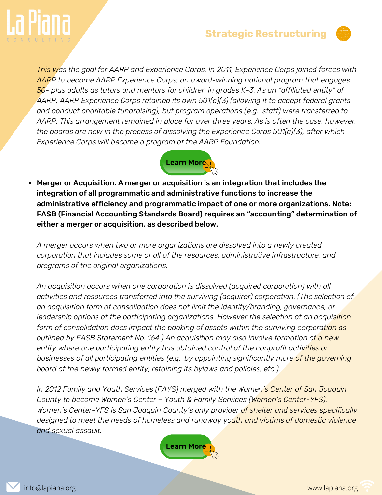

### **Strategic Restructuring**



*This was the goal for AARP and Experience Corps. In 2011, Experience Corps joined forces with AARP to become AARP Experience Corps, an award-winning national program that engages 50- plus adults as tutors and mentors for children in grades K-3. As an "affiliated entity" of AARP, AARP Experience Corps retained its own 501(c)(3) (allowing it to accept federal grants and conduct charitable fundraising), but program operations (e.g., staff) were transferred to AARP. This arrangement remained in place for over three years. As is often the case, however, the boards are now in the process of dissolving the Experience Corps 501(c)(3), after which Experience Corps will become a program of the AARP Foundation.*



Merger or Acquisition. A merger or acquisition is an integration that includes the integration of all programmatic and administrative functions to increase the administrative efficiency and programmatic impact of one or more organizations. Note: FASB (Financial Accounting Standards Board) requires an "accounting" determination of either a merger or acquisition, as described below.

*A merger occurs when two or more organizations are dissolved into a newly created corporation that includes some or all of the resources, administrative infrastructure, and programs of the original organizations.*

*An acquisition occurs when one corporation is dissolved (acquired corporation) with all activities and resources transferred into the surviving (acquirer) corporation. (The selection of an acquisition form of consolidation does not limit the identity/branding, governance, or leadership options of the participating organizations. However the selection of an acquisition form of consolidation does impact the booking of assets within the surviving corporation as outlined by FASB Statement No. 164.) An acquisition may also involve formation of a new entity where one participating entity has obtained control of the nonprofit activities or businesses of all participating entities (e.g., by appointing significantly more of the governing board of the newly formed entity, retaining its bylaws and policies, etc.).*

*In 2012 Family and Youth Services (FAYS) merged with the Women's Center of San Joaquin County to become Women's Center – Youth & Family Services (Women's Center-YFS). Women's Center-YFS is San Joaquin County's only provider of shelter and services specifically designed to meet the needs of homeless and runaway youth and victims of domestic violence and sexual assault.*